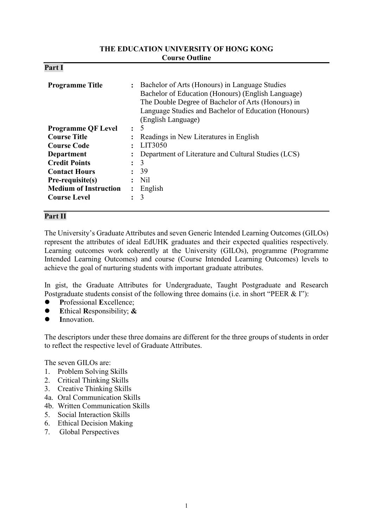#### **THE EDUCATION UNIVERSITY OF HONG KONG Course Outline**

| D.<br>'ar<br>4. |  |
|-----------------|--|
|-----------------|--|

| <b>Programme Title</b>       | $\ddot{\cdot}$ | Bachelor of Arts (Honours) in Language Studies<br>Bachelor of Education (Honours) (English Language)<br>The Double Degree of Bachelor of Arts (Honours) in<br>Language Studies and Bachelor of Education (Honours)<br>(English Language) |  |
|------------------------------|----------------|------------------------------------------------------------------------------------------------------------------------------------------------------------------------------------------------------------------------------------------|--|
| <b>Programme QF Level</b>    | $\ddot{\cdot}$ | 5                                                                                                                                                                                                                                        |  |
| <b>Course Title</b>          | $\ddot{\cdot}$ | Readings in New Literatures in English                                                                                                                                                                                                   |  |
| <b>Course Code</b>           |                | LIT3050                                                                                                                                                                                                                                  |  |
| Department                   |                | Department of Literature and Cultural Studies (LCS)                                                                                                                                                                                      |  |
| <b>Credit Points</b>         | $\ddot{\cdot}$ | 3                                                                                                                                                                                                                                        |  |
| <b>Contact Hours</b>         | $\ddot{\cdot}$ | 39                                                                                                                                                                                                                                       |  |
| Pre-requisite(s)             |                | Nil.                                                                                                                                                                                                                                     |  |
| <b>Medium of Instruction</b> | $\ddot{\cdot}$ | English                                                                                                                                                                                                                                  |  |
| <b>Course Level</b>          |                | 3                                                                                                                                                                                                                                        |  |

## **Part II**

The University's Graduate Attributes and seven Generic Intended Learning Outcomes (GILOs) represent the attributes of ideal EdUHK graduates and their expected qualities respectively. Learning outcomes work coherently at the University (GILOs), programme (Programme Intended Learning Outcomes) and course (Course Intended Learning Outcomes) levels to achieve the goal of nurturing students with important graduate attributes.

In gist, the Graduate Attributes for Undergraduate, Taught Postgraduate and Research Postgraduate students consist of the following three domains (i.e. in short "PEER & I"):

- **P**rofessional **E**xcellence;
- **E**thical **R**esponsibility; **&**
- **I**nnovation.

The descriptors under these three domains are different for the three groups of students in order to reflect the respective level of Graduate Attributes.

The seven GILOs are:

- 1. Problem Solving Skills
- 2. Critical Thinking Skills
- 3. Creative Thinking Skills
- 4a. Oral Communication Skills
- 4b. Written Communication Skills
- 5. Social Interaction Skills
- 6. Ethical Decision Making
- 7. Global Perspectives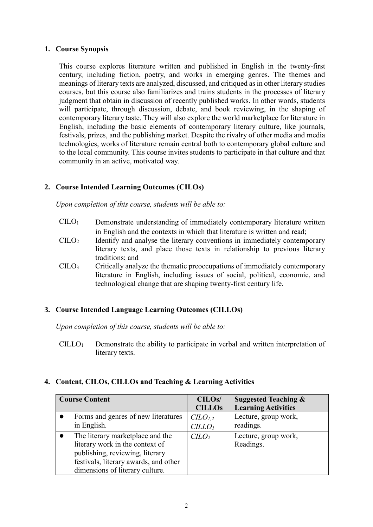#### **1. Course Synopsis**

This course explores literature written and published in English in the twenty-first century, including fiction, poetry, and works in emerging genres. The themes and meanings of literary texts are analyzed, discussed, and critiqued as in other literary studies courses, but this course also familiarizes and trains students in the processes of literary judgment that obtain in discussion of recently published works. In other words, students will participate, through discussion, debate, and book reviewing, in the shaping of contemporary literary taste. They will also explore the world marketplace for literature in English, including the basic elements of contemporary literary culture, like journals, festivals, prizes, and the publishing market. Despite the rivalry of other media and media technologies, works of literature remain central both to contemporary global culture and to the local community. This course invites students to participate in that culture and that community in an active, motivated way.

# **2. Course Intended Learning Outcomes (CILOs)**

*Upon completion of this course, students will be able to:*

- CILO<sup>1</sup> Demonstrate understanding of immediately contemporary literature written in English and the contexts in which that literature is written and read;
- CILO<sup>2</sup> Identify and analyse the literary conventions in immediately contemporary literary texts, and place those texts in relationship to previous literary traditions; and
- CILO<sup>3</sup> Critically analyze the thematic preoccupations of immediately contemporary literature in English, including issues of social, political, economic, and technological change that are shaping twenty-first century life.

# **3. Course Intended Language Learning Outcomes (CILLOs)**

*Upon completion of this course, students will be able to:*

CILLO<sup>1</sup> Demonstrate the ability to participate in verbal and written interpretation of literary texts.

## **4. Content, CILOs, CILLOs and Teaching & Learning Activities**

| <b>Course Content</b>                 | CILO <sub>s</sub> /<br><b>CILLOs</b> | <b>Suggested Teaching &amp;</b><br><b>Learning Activities</b> |
|---------------------------------------|--------------------------------------|---------------------------------------------------------------|
| Forms and genres of new literatures   | C <sub>L</sub> O <sub>L,2</sub>      | Lecture, group work,                                          |
| in English.                           | $CILLO_I$                            | readings.                                                     |
| The literary marketplace and the      | C <sub>LO</sub>                      | Lecture, group work,                                          |
| literary work in the context of       |                                      | Readings.                                                     |
| publishing, reviewing, literary       |                                      |                                                               |
| festivals, literary awards, and other |                                      |                                                               |
| dimensions of literary culture.       |                                      |                                                               |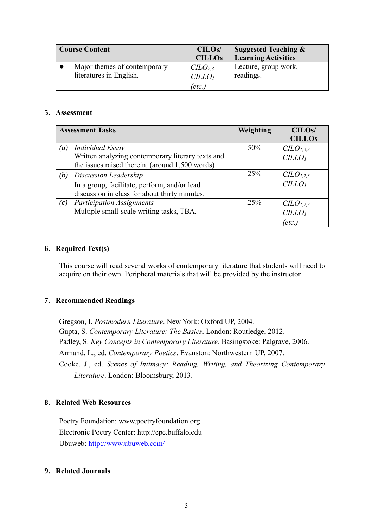| <b>Course Content</b>                                   | CILO <sub>s</sub> /<br><b>CILLOS</b>                           | <b>Suggested Teaching &amp;</b><br><b>Learning Activities</b> |
|---------------------------------------------------------|----------------------------------------------------------------|---------------------------------------------------------------|
| Major themes of contemporary<br>literatures in English. | C <sub>L</sub> O <sub>2,3</sub><br>CILLO <sub>1</sub><br>etc., | Lecture, group work,<br>readings.                             |

#### **5. Assessment**

|                  | <b>Assessment Tasks</b>                           | Weighting | CILO <sub>s</sub> /  |
|------------------|---------------------------------------------------|-----------|----------------------|
|                  |                                                   |           | <b>CILLOs</b>        |
| $\left(a\right)$ | <b>Individual Essay</b>                           | 50%       | CLO <sub>1,2,3</sub> |
|                  | Written analyzing contemporary literary texts and |           | CILLO <sub>1</sub>   |
|                  | the issues raised therein. (around 1,500 words)   |           |                      |
| (b)              | Discussion Leadership                             | 25%       | CLO <sub>1,2,3</sub> |
|                  | In a group, facilitate, perform, and/or lead      |           | CILLO <sub>1</sub>   |
|                  | discussion in class for about thirty minutes.     |           |                      |
| (c)              | <b>Participation Assignments</b>                  | 25%       | $CLO_{1,2,3}$        |
|                  | Multiple small-scale writing tasks, TBA.          |           | CILLO <sub>I</sub>   |
|                  |                                                   |           | 'etc.                |

# **6. Required Text(s)**

This course will read several works of contemporary literature that students will need to acquire on their own. Peripheral materials that will be provided by the instructor.

## **7. Recommended Readings**

Gregson, I. *Postmodern Literature*. New York: Oxford UP, 2004. Gupta, S. *Contemporary Literature: The Basics*. London: Routledge, 2012. Padley, S. *Key Concepts in Contemporary Literature.* Basingstoke: Palgrave, 2006. Armand, L., ed. *Contemporary Poetics*. Evanston: Northwestern UP, 2007. Cooke, J., ed. *Scenes of Intimacy: Reading, Writing, and Theorizing Contemporary Literature*. London: Bloomsbury, 2013.

## **8. Related Web Resources**

Poetry Foundation: www.poetryfoundation.org Electronic Poetry Center: http://epc.buffalo.edu Ubuweb:<http://www.ubuweb.com/>

## **9. Related Journals**